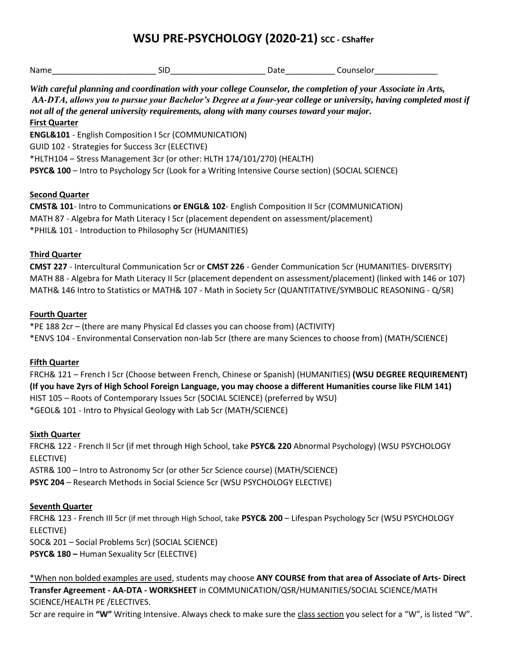# **WSU PRE-PSYCHOLOGY (2020-21) SCC - CShaffer**

| Name | יי | .<br>. . | ۱۵۱٬<br>பகா<br>. ש<br>- - - - |
|------|----|----------|-------------------------------|
|      |    |          |                               |

 *AA-DTA, allows you to pursue your Bachelor's Degree at a four-year college or university, having completed most if With careful planning and coordination with your college Counselor, the completion of your Associate in Arts, not all of the general university requirements, along with many courses toward your major.* 

#### **First Quarter**

**ENGL&101** - English Composition I 5cr (COMMUNICATION) GUID 102 - Strategies for Success 3cr (ELECTIVE) \*HLTH104 – Stress Management 3cr (or other: HLTH 174/101/270) (HEALTH) **PSYC& 100** – Intro to Psychology 5cr (Look for a Writing Intensive Course section) (SOCIAL SCIENCE)

### **Second Quarter**

 MATH 87 - Algebra for Math Literacy I 5cr (placement dependent on assessment/placement) \*PHIL& 101 - Introduction to Philosophy 5cr (HUMANITIES) **CMST& 101**- Intro to Communications **or ENGL& 102**- English Composition II 5cr (COMMUNICATION)

### **Third Quarter**

 MATH 88 - Algebra for Math Literacy II 5cr (placement dependent on assessment/placement) (linked with 146 or 107) **CMST 227** - Intercultural Communication 5cr or **CMST 226** - Gender Communication 5cr (HUMANITIES- DIVERSITY) MATH& 146 Intro to Statistics or MATH& 107 - Math in Society 5cr (QUANTITATIVE/SYMBOLIC REASONING - Q/SR)

### **Fourth Quarter**

\*PE 188 2cr – (there are many Physical Ed classes you can choose from) (ACTIVITY) \*ENVS 104 - Environmental Conservation non-lab 5cr (there are many Sciences to choose from) (MATH/SCIENCE)

## **Fifth Quarter**

FRCH& 121 – French I 5cr (Choose between French, Chinese or Spanish) (HUMANITIES) **(WSU DEGREE REQUIREMENT) (If you have 2yrs of High School Foreign Language, you may choose a different Humanities course like FILM 141)**  HIST 105 – Roots of Contemporary Issues 5cr (SOCIAL SCIENCE) (preferred by WSU) \*GEOL& 101 - Intro to Physical Geology with Lab 5cr (MATH/SCIENCE)

## **Sixth Quarter**

 ASTR& 100 – Intro to Astronomy 5cr (or other 5cr Science course) (MATH/SCIENCE) FRCH& 122 - French II 5cr (if met through High School, take **PSYC& 220** Abnormal Psychology) (WSU PSYCHOLOGY ELECTIVE) **PSYC 204** – Research Methods in Social Science 5cr (WSU PSYCHOLOGY ELECTIVE)

## **Seventh Quarter**

FRCH& 123 - French III 5cr (if met through High School, take **PSYC& 200** – Lifespan Psychology 5cr (WSU PSYCHOLOGY ELECTIVE) SOC& 201 – Social Problems 5cr) (SOCIAL SCIENCE)

**PSYC& 180 –** Human Sexuality 5cr (ELECTIVE)

\*When non bolded examples are used, students may choose **ANY COURSE from that area of Associate of Arts- Direct Transfer Agreement - AA-DTA - WORKSHEET** in COMMUNICATION/QSR/HUMANITIES/SOCIAL SCIENCE/MATH SCIENCE/HEALTH PE /ELECTIVES.

5cr are require in **"W"** Writing Intensive. Always check to make sure the class section you select for a "W", is listed "W".